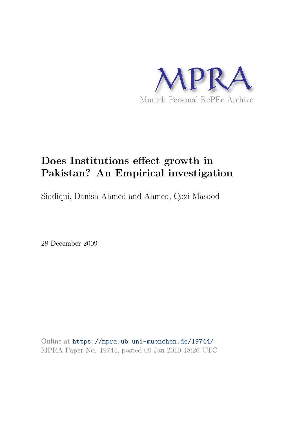

# **Does Institutions effect growth in Pakistan? An Empirical investigation**

Siddiqui, Danish Ahmed and Ahmed, Qazi Masood

28 December 2009

Online at https://mpra.ub.uni-muenchen.de/19744/ MPRA Paper No. 19744, posted 08 Jan 2010 18:26 UTC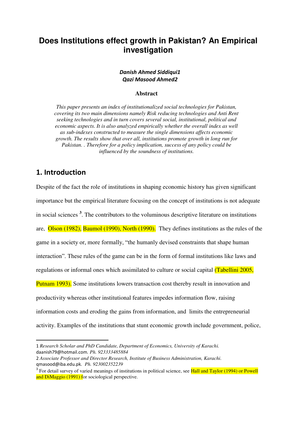# **Does Institutions effect growth in Pakistan? An Empirical investigation**

#### *Danish Ahmed Siddiqui1 Qazi Masood Ahmed2*

#### **Abstract**

*This paper presents an index of institutionalized social technologies for Pakistan, covering its two main dimensions namely Risk reducing technologies and Anti Rent seeking technologies and in turn covers several social, institutional, political and economic aspects. It is also analyzed empirically whether the overall index as well as sub-indexes constructed to measure the single dimensions affects economic growth. The results show that over all, institutions promote growth in long run for Pakistan. . Therefore for a policy implication, success of any policy could be influenced by the soundness of institutions.*

#### **1. Introduction**

<u>.</u>

Despite of the fact the role of institutions in shaping economic history has given significant importance but the empirical literature focusing on the concept of institutions is not adequate in social sciences **<sup>3</sup>** . The contributors to the voluminous descriptive literature on institutions are, Olson (1982), Baumol (1990), North (1990). They defines institutions as the rules of the game in a society or, more formally, "the humanly devised constraints that shape human interaction". These rules of the game can be in the form of formal institutions like laws and regulations or informal ones which assimilated to culture or social capital (Tabellini 2005, Putnam 1993). Some institutions lowers transaction cost thereby result in innovation and productivity whereas other institutional features impedes information flow, raising information costs and eroding the gains from information, and limits the entrepreneurial activity. Examples of the institutions that stunt economic growth include government, police,

<sup>1</sup> *Research Scholar and PhD Candidate, Department of Economics, University of Karachi.*  [daanish79@hotmail.com](mailto:daanish79@hotmail.com)*. Ph. 923333485884*

<sup>2</sup> *Associate Professor and Director Research, Institute of Business Administration, Karachi.*  [qmasood@iba.edu.pk](mailto:qmasood@iba.edu.pk)*. Ph. 923002352239*

<sup>&</sup>lt;sup>3</sup> For detail survey of varied meanings of institutions in political science, see Hall and Taylor (1994) or Powell and DiMaggio (1991) for sociological perspective.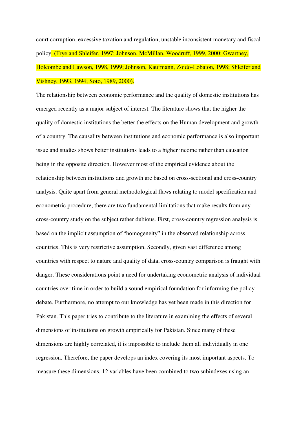court corruption, excessive taxation and regulation, unstable inconsistent monetary and fiscal policy. (Frye and Shleifer, 1997; Johnson, McMillan, Woodruff, 1999, 2000; Gwartney, Holcombe and Lawson, 1998, 1999; Johnson, Kaufmann, Zoido-Lobaton, 1998; Shleifer and Vishney, 1993, 1994; Soto, 1989, 2000).

The relationship between economic performance and the quality of domestic institutions has emerged recently as a major subject of interest. The literature shows that the higher the quality of domestic institutions the better the effects on the Human development and growth of a country. The causality between institutions and economic performance is also important issue and studies shows better institutions leads to a higher income rather than causation being in the opposite direction. However most of the empirical evidence about the relationship between institutions and growth are based on cross-sectional and cross-country analysis. Quite apart from general methodological flaws relating to model specification and econometric procedure, there are two fundamental limitations that make results from any cross-country study on the subject rather dubious. First, cross-country regression analysis is based on the implicit assumption of "homogeneity" in the observed relationship across countries. This is very restrictive assumption. Secondly, given vast difference among countries with respect to nature and quality of data, cross-country comparison is fraught with danger. These considerations point a need for undertaking econometric analysis of individual countries over time in order to build a sound empirical foundation for informing the policy debate. Furthermore, no attempt to our knowledge has yet been made in this direction for Pakistan. This paper tries to contribute to the literature in examining the effects of several dimensions of institutions on growth empirically for Pakistan. Since many of these dimensions are highly correlated, it is impossible to include them all individually in one regression. Therefore, the paper develops an index covering its most important aspects. To measure these dimensions, 12 variables have been combined to two subindexes using an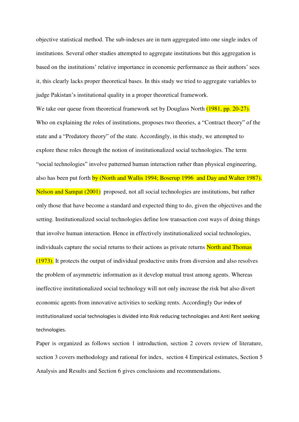objective statistical method. The sub-indexes are in turn aggregated into one single index of institutions. Several other studies attempted to aggregate institutions but this aggregation is based on the institutions' relative importance in economic performance as their authors' sees it, this clearly lacks proper theoretical bases. In this study we tried to aggregate variables to judge Pakistan's institutional quality in a proper theoretical framework.

We take our queue from theoretical framework set by Douglass North (1981, pp. 20-27). Who on explaining the roles of institutions, proposes two theories, a "Contract theory" of the state and a "Predatory theory" of the state. Accordingly, in this study, we attempted to explore these roles through the notion of institutionalized social technologies. The term ―social technologies‖ involve patterned human interaction rather than physical engineering, also has been put forth by (North and Wallis 1994; Boserup 1996 and Day and Walter 1987). Nelson and Sampat (2001) proposed, not all social technologies are institutions, but rather only those that have become a standard and expected thing to do, given the objectives and the setting. Institutionalized social technologies define low transaction cost ways of doing things that involve human interaction. Hence in effectively institutionalized social technologies, individuals capture the social returns to their actions as private returns **North and Thomas** (1973). It protects the output of individual productive units from diversion and also resolves the problem of asymmetric information as it develop mutual trust among agents. Whereas ineffective institutionalized social technology will not only increase the risk but also divert economic agents from innovative activities to seeking rents. Accordingly Our index of institutionalized social technologies is divided into Risk reducing technologies and Anti Rent seeking technologies.

Paper is organized as follows section 1 introduction, section 2 covers review of literature, section 3 covers methodology and rational for index, section 4 Empirical estimates, Section 5 Analysis and Results and Section 6 gives conclusions and recommendations.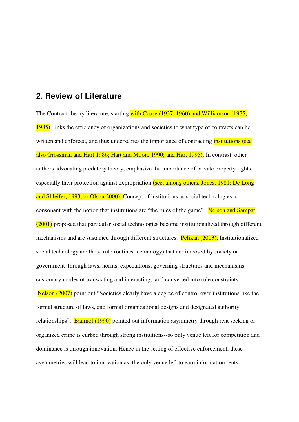## **2. Review of Literature**

The Contract theory literature, starting with Coase (1937, 1960) and Williamson (1975, 1985), links the efficiency of organizations and societies to what type of contracts can be written and enforced, and thus underscores the importance of contracting *institutions* (see also Grossman and Hart 1986; Hart and Moore 1990; and Hart 1995). In contrast, other authors advocating predatory theory, emphasize the importance of private property rights, especially their protection against expropriation (see, among others, Jones, 1981; De Long and Shleifer, 1993, or Olson 2000). Concept of institutions as social technologies is consonant with the notion that institutions are "the rules of the game". Nelson and Sampat (2001) proposed that particular social technologies become institutionalized through different mechanisms and are sustained through different structures. **Pelikan (2003)**, Institutionalized social technology are those rule routines(technology) that are imposed by society or government through laws, norms, expectations, governing structures and mechanisms, customary modes of transacting and interacting, and converted into rule constraints. Nelson (2007) point out "Societies clearly have a degree of control over institutions like the formal structure of laws, and formal organizational designs and designated authority relationships". Baumol (1990) pointed out information asymmetry through rent seeking or organized crime is curbed through strong institutions--so only venue left for competition and dominance is through innovation. Hence in the setting of effective enforcement, these asymmetries will lead to innovation as the only venue left to earn information rents.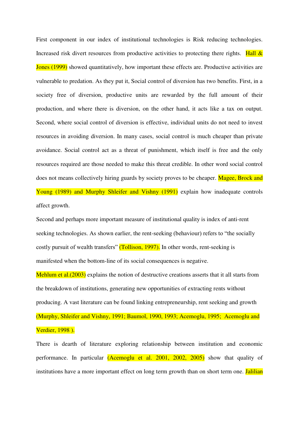First component in our index of institutional technologies is Risk reducing technologies. Increased risk divert resources from productive activities to protecting there rights. Hall  $\&$ Jones (1999) showed quantitatively, how important these effects are. Productive activities are vulnerable to predation. As they put it, Social control of diversion has two benefits. First, in a society free of diversion, productive units are rewarded by the full amount of their production, and where there is diversion, on the other hand, it acts like a tax on output. Second, where social control of diversion is effective, individual units do not need to invest resources in avoiding diversion. In many cases, social control is much cheaper than private avoidance. Social control act as a threat of punishment, which itself is free and the only resources required are those needed to make this threat credible. In other word social control does not means collectively hiring guards by society proves to be cheaper. Magee, Brock and Young (1989) and Murphy Shleifer and Vishny (1991) explain how inadequate controls affect growth.

Second and perhaps more important measure of institutional quality is index of anti-rent seeking technologies. As shown earlier, the rent-seeking (behaviour) refers to "the socially costly pursuit of wealth transfers" (Tollison, 1997). In other words, rent-seeking is manifested when the bottom-line of its social consequences is negative.

Mehlum et al. (2003) explains the notion of destructive creations asserts that it all starts from the breakdown of institutions, generating new opportunities of extracting rents without producing. A vast literature can be found linking entrepreneurship, rent seeking and growth (Murphy, Shleifer and Vishny, 1991; Baumol, 1990, 1993; Acemoglu, 1995; Acemoglu and Verdier, 1998 ).

There is dearth of literature exploring relationship between institution and economic performance. In particular (Acemoglu et al. 2001, 2002, 2005) show that quality of institutions have a more important effect on long term growth than on short term one. **Jalilian**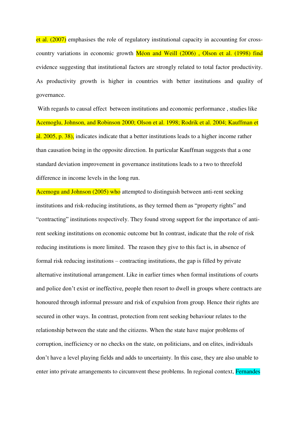et al. (2007) emphasises the role of regulatory institutional capacity in accounting for crosscountry variations in economic growth Méon and Weill (2006) , Olson et al. (1998) find evidence suggesting that institutional factors are strongly related to total factor productivity. As productivity growth is higher in countries with better institutions and quality of governance.

 With regards to causal effect between institutions and economic performance , studies like Acemoglu, Johnson, and Robinson 2000; Olson et al. 1998; Rodrik et al. 2004; Kauffman et al. 2005, p. 38), indicates indicate that a better institutions leads to a higher income rather than causation being in the opposite direction. In particular Kauffman suggests that a one standard deviation improvement in governance institutions leads to a two to threefold difference in income levels in the long run.

Acemogu and Johnson (2005) who attempted to distinguish between anti-rent seeking institutions and risk-reducing institutions, as they termed them as "property rights" and "contracting" institutions respectively. They found strong support for the importance of antirent seeking institutions on economic outcome but In contrast, indicate that the role of risk reducing institutions is more limited. The reason they give to this fact is, in absence of formal risk reducing institutions – contracting institutions, the gap is filled by private alternative institutional arrangement. Like in earlier times when formal institutions of courts and police don't exist or ineffective, people then resort to dwell in groups where contracts are honoured through informal pressure and risk of expulsion from group. Hence their rights are secured in other ways. In contrast, protection from rent seeking behaviour relates to the relationship between the state and the citizens. When the state have major problems of corruption, inefficiency or no checks on the state, on politicians, and on elites, individuals don't have a level playing fields and adds to uncertainty. In this case, they are also unable to enter into private arrangements to circumvent these problems. In regional context, Fernandes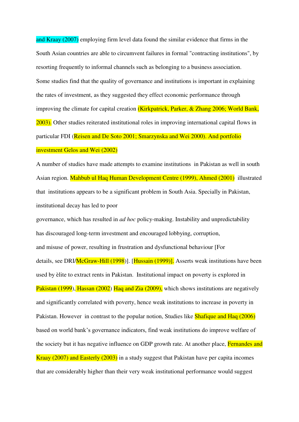and Kraay (2007) employing firm level data found the similar evidence that firms in the South Asian countries are able to circumvent failures in formal "contracting institutions", by resorting frequently to informal channels such as belonging to a business association. Some studies find that the quality of governance and institutions is important in explaining the rates of investment, as they suggested they effect economic performance through improving the climate for capital creation *(Kirkpatrick, Parker, & Zhang 2006; World Bank,* 2003). Other studies reiterated institutional roles in improving international capital flows in particular FDI (Reisen and De Soto 2001; Smarzynska and Wei 2000). And portfolio investment Gelos and Wei (2002)

A number of studies have made attempts to examine institutions in Pakistan as well in south Asian region. Mahbub ul Haq Human Development Centre (1999), Ahmed (2001) illustrated that institutions appears to be a significant problem in South Asia. Specially in Pakistan, institutional decay has led to poor

governance, which has resulted in *ad hoc* policy-making. Instability and unpredictability has discouraged long-term investment and encouraged lobbying, corruption, and misuse of power, resulting in frustration and dysfunctional behaviour [For details, see DRI/McGraw-Hill (1998)]. [Hussain (1999)]. Asserts weak institutions have been used by èlite to extract rents in Pakistan. Institutional impact on poverty is explored in Pakistan (1999), Hassan (2002) Haq and Zia (2009), which shows institutions are negatively and significantly correlated with poverty, hence weak institutions to increase in poverty in Pakistan. However in contrast to the popular notion, Studies like **Shafique and Haq (2006)** based on world bank's governance indicators, find weak institutions do improve welfare of the society but it has negative influence on GDP growth rate. At another place, Fernandes and Kraay (2007) and Easterly (2003) in a study suggest that Pakistan have per capita incomes that are considerably higher than their very weak institutional performance would suggest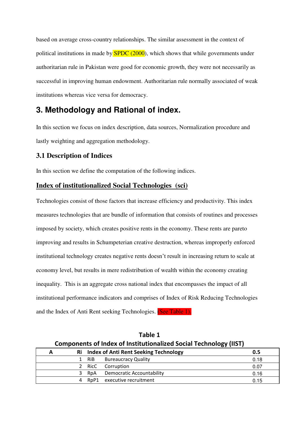based on average cross-country relationships. The similar assessment in the context of political institutions in made by  $SPDC (2000)$ , which shows that while governments under authoritarian rule in Pakistan were good for economic growth, they were not necessarily as successful in improving human endowment. Authoritarian rule normally associated of weak institutions whereas vice versa for democracy.

# **3. Methodology and Rational of index.**

In this section we focus on index description, data sources, Normalization procedure and lastly weighting and aggregation methodology.

#### **3.1 Description of Indices**

In this section we define the computation of the following indices.

#### **Index of institutionalized Social Technologies (sci)**

Technologies consist of those factors that increase efficiency and productivity. This index measures technologies that are bundle of information that consists of routines and processes imposed by society, which creates positive rents in the economy. These rents are pareto improving and results in Schumpeterian creative destruction, whereas improperly enforced institutional technology creates negative rents doesn't result in increasing return to scale at economy level, but results in mere redistribution of wealth within the economy creating inequality. This is an aggregate cross national index that encompasses the impact of all institutional performance indicators and comprises of Index of Risk Reducing Technologies and the Index of Anti Rent seeking Technologies. (See Table 1).

**Components of Index of Institutionalized Social Technology (IIST) A Ri Index of Anti Rent Seeking Technology 0.5** 1 RiB Bureaucracy Quality **1 RiB** 8.18 2 RicC Corruption 2 and 2 Ricc Corruption 2 and 2 and 2 and 2 and 2 and 2 and 2 and 2 and 2 and 2 and 2 and 2 and 2 and 2 and 2 and 2 and 2 and 2 and 2 and 2 and 2 and 2 and 2 and 2 and 2 and 2 and 2 and 2 and 2 and 2 and 3 RpA Democratic Accountability 0.16 4 RpP1 executive recruitment 0.15

**Table 1**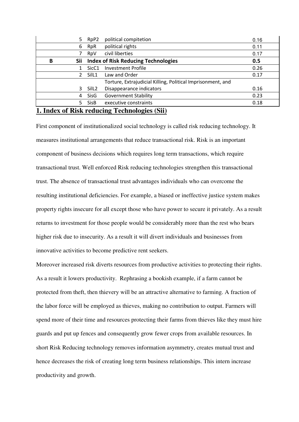| 5.                                       | RpP2              | political compitetion                                       | 0.16 |  |  |  |  |
|------------------------------------------|-------------------|-------------------------------------------------------------|------|--|--|--|--|
| 6                                        | <b>RpR</b>        | political rights                                            | 0.11 |  |  |  |  |
|                                          | RpV               | civil liberties                                             | 0.17 |  |  |  |  |
| B<br>Sii                                 |                   | <b>Index of Risk Reducing Technologies</b>                  | 0.5  |  |  |  |  |
|                                          | SicC <sub>1</sub> | <b>Investment Profile</b>                                   | 0.26 |  |  |  |  |
| 2                                        | SilL1             | Law and Order                                               | 0.17 |  |  |  |  |
|                                          |                   | Torture, Extrajudicial Killing, Political Imprisonment, and |      |  |  |  |  |
|                                          | 3 SilL2           | Disappearance indicators                                    | 0.16 |  |  |  |  |
| 4                                        | SisG              | <b>Government Stability</b>                                 | 0.23 |  |  |  |  |
| 5                                        | <b>SisB</b>       | executive constraints                                       | 0.18 |  |  |  |  |
| 1 Index of Dick reducing Technologies (S |                   |                                                             |      |  |  |  |  |

#### **1. Index of Risk reducing Technologies (Sii)**

First component of institutionalized social technology is called risk reducing technology. It measures institutional arrangements that reduce transactional risk. Risk is an important component of business decisions which requires long term transactions, which require transactional trust. Well enforced Risk reducing technologies strengthen this transactional trust. The absence of transactional trust advantages individuals who can overcome the resulting institutional deficiencies. For example, a biased or ineffective justice system makes property rights insecure for all except those who have power to secure it privately. As a result returns to investment for those people would be considerably more than the rest who bears higher risk due to insecurity. As a result it will divert individuals and businesses from innovative activities to become predictive rent seekers.

Moreover increased risk diverts resources from productive activities to protecting their rights. As a result it lowers productivity. Rephrasing a bookish example, if a farm cannot be protected from theft, then thievery will be an attractive alternative to farming. A fraction of the labor force will be employed as thieves, making no contribution to output. Farmers will spend more of their time and resources protecting their farms from thieves like they must hire guards and put up fences and consequently grow fewer crops from available resources. In short Risk Reducing technology removes information asymmetry, creates mutual trust and hence decreases the risk of creating long term business relationships. This intern increase productivity and growth.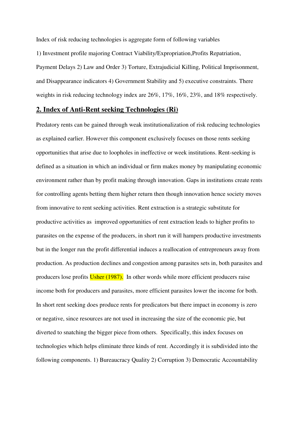Index of risk reducing technologies is aggregate form of following variables

1) Investment profile majoring Contract Viability/Expropriation, Profits Repatriation, Payment Delays 2) Law and Order 3) Torture, Extrajudicial Killing, Political Imprisonment, and Disappearance indicators 4) Government Stability and 5) executive constraints. There weights in risk reducing technology index are 26%, 17%, 16%, 23%, and 18% respectively.

#### **2. Index of Anti-Rent seeking Technologies (Ri)**

Predatory rents can be gained through weak institutionalization of risk reducing technologies as explained earlier. However this component exclusively focuses on those rents seeking opportunities that arise due to loopholes in ineffective or week institutions. Rent-seeking is defined as a situation in which an individual or firm makes money by manipulating economic environment rather than by profit making through innovation. Gaps in institutions create rents for controlling agents betting them higher return then though innovation hence society moves from innovative to rent seeking activities. Rent extraction is a strategic substitute for productive activities as improved opportunities of rent extraction leads to higher profits to parasites on the expense of the producers, in short run it will hampers productive investments but in the longer run the profit differential induces a reallocation of entrepreneurs away from production. As production declines and congestion among parasites sets in, both parasites and producers lose profits Usher (1987). In other words while more efficient producers raise income both for producers and parasites, more efficient parasites lower the income for both. In short rent seeking does produce rents for predicators but there impact in economy is zero or negative, since resources are not used in increasing the size of the economic pie, but diverted to snatching the bigger piece from others. Specifically, this index focuses on technologies which helps eliminate three kinds of rent. Accordingly it is subdivided into the following components. 1) Bureaucracy Quality 2) Corruption 3) Democratic Accountability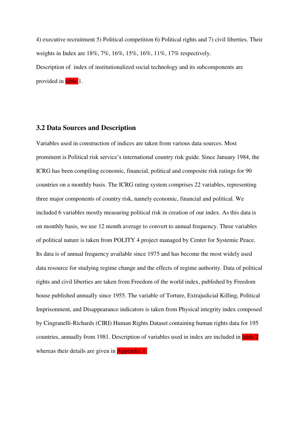4) executive recruitment 5) Political competition 6) Political rights and 7) civil liberties. Their weights in Index are 18%, 7%, 16%, 15%, 16%, 11%, 17% respectively. Description of index of institutionalized social technology and its subcomponents are provided in table 1.

#### **3.2 Data Sources and Description**

Variables used in construction of indices are taken from various data sources. Most prominent is Political risk service's international country risk guide. Since January 1984, the ICRG has been compiling economic, financial, political and composite risk ratings for 90 countries on a monthly basis. The ICRG rating system comprises 22 variables, representing three major components of country risk, namely economic, financial and political. We included 6 variables mostly measuring political risk in creation of our index. As this data is on monthly basis, we use 12 month average to convert to annual frequency. Three variables of political nature is taken from POLITY 4 project managed by Center for Systemic Peace. Its data is of annual frequency available since 1975 and has become the most widely used data resource for studying regime change and the effects of regime authority. Data of political rights and civil liberties are taken from Freedom of the world index, published by Freedom house published annually since 1955. The variable of Torture, Extrajudicial Killing, Political Imprisonment, and Disappearance indicators is taken from Physical integrity index composed by Cingranelli-Richards (CIRI) Human Rights Dataset containing human rights data for 195 countries, annually from 1981. Description of variables used in index are included in table 2 whereas their details are given in **Appendix 1.**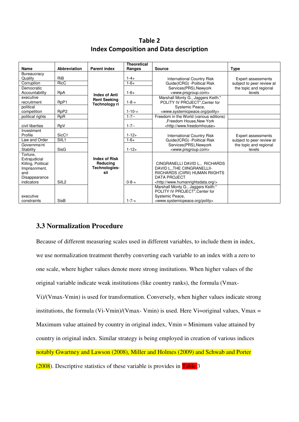**Table 2 Index Composition and Data description** 

|                    |                   |                      | <b>Theoretical</b> |                                                           |                           |
|--------------------|-------------------|----------------------|--------------------|-----------------------------------------------------------|---------------------------|
| Name               | Abbreviation      | <b>Parent index</b>  | Ranges             | <b>Source</b>                                             | <b>Type</b>               |
| <b>Bureaucracy</b> |                   |                      |                    |                                                           |                           |
| Quality            | <b>RiB</b>        |                      | $1 - 4 +$          | <b>International Country Risk</b>                         | <b>Expert assessments</b> |
| Corruption         | <b>RicC</b>       |                      | $1 - 6 +$          | Guide(ICRG) - Political Risk                              | subject to peer review at |
| Democratic         |                   |                      |                    | Services(PRS), Newyork                                    | the topic and regional    |
| Accountability     | RpA               | <b>Index of Anti</b> | $1-6+$             | <www.prsgroup.com></www.prsgroup.com>                     | levels                    |
| executive          |                   | <b>Rent Seeking</b>  |                    | Marshall Monty G., Jaggers Keith."                        |                           |
| recruitment        | RpP1              | Technology ri        | $1 - 8 - +$        | POLITY IV PROJECT", Center for                            |                           |
| political          |                   |                      |                    | Systemic Peace,                                           |                           |
| competition        | RpP <sub>2</sub>  |                      | $1 - 10 - +$       | <www.systemicpeace.org polity=""></www.systemicpeace.org> |                           |
| political rights   | <b>RpR</b>        |                      | $1 - 7 -$          | Freedom in the World (various editions)                   |                           |
|                    |                   |                      |                    | Freedom House.New York                                    |                           |
| civil liberties    | RpV               |                      | $1 - 7 -$          | <http: www.freedomhouse=""></http:>                       |                           |
| Investment         |                   |                      |                    |                                                           |                           |
| Profile            | SicC1             |                      | $1 - 12 +$         | <b>International Country Risk</b>                         | Expert assessments        |
| Law and Order      | SilL1             |                      | $1 - 6 +$          | Guide(ICRG) - Political Risk                              | subject to peer review at |
| Governme/nt        |                   |                      |                    | Services(PRS), Newyork                                    | the topic and regional    |
| Stability          | <b>SisG</b>       |                      | $1 - 12 +$         | <www.prsgroup.com></www.prsgroup.com>                     | levels                    |
| Torture,           |                   |                      |                    |                                                           |                           |
| Extrajudicial      |                   | <b>Index of Risk</b> |                    |                                                           |                           |
| Killing, Political |                   | Reducing             |                    | CINGRANELLI DAVID L., RICHARDS                            |                           |
| Imprisonment.      |                   | Technologies-        |                    | DAVID L., THE CIINGRANELLII-                              |                           |
| and                |                   | sii                  |                    | RIICHARDS (CIIRII) HUMAN RIIGHTS                          |                           |
| Disappearance      |                   |                      |                    | <b>DATA PROJECT</b>                                       |                           |
| indicators         | SilL <sub>2</sub> |                      | $0 - 8 - +$        | <http: www.humanrightsdata.org=""></http:>                |                           |
|                    |                   |                      |                    | Marshall Monty G., Jaggers Keith."                        |                           |
|                    |                   |                      |                    | POLITY IV PROJECT".Center for                             |                           |
| executive          |                   |                      |                    | Systemic Peace,                                           |                           |
| constraints        | <b>SisB</b>       |                      | $1 - 7 - +$        | <www.systemicpeace.org polity=""></www.systemicpeace.org> |                           |

#### **3.3 Normalization Procedure**

Because of different measuring scales used in different variables, to include them in index, we use normalization treatment thereby converting each variable to an index with a zero to one scale, where higher values denote more strong institutions. When higher values of the original variable indicate weak institutions (like country ranks), the formula (Vmax-Vi)/(Vmax-Vmin) is used for transformation. Conversely, when higher values indicate strong institutions, the formula (Vi-Vmin)/(Vmax- Vmin) is used. Here Vi=original values, Vmax = Maximum value attained by country in original index, Vmin = Minimum value attained by country in original index. Similar strategy is being employed in creation of various indices notably Gwartney and Lawson (2008), Miller and Holmes (2009) and Schwab and Porter  $(2008)$ . Descriptive statistics of these variable is provides in Table 3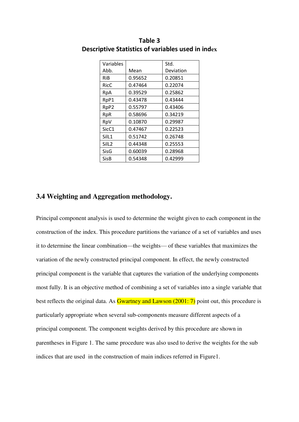| Variables         |         | Std.      |
|-------------------|---------|-----------|
| Abb.              | Mean    | Deviation |
| RiB               | 0.95652 | 0.20851   |
| <b>RicC</b>       | 0.47464 | 0.22074   |
| RpA               | 0.39529 | 0.25862   |
| RpP1              | 0.43478 | 0.43444   |
| RpP2              | 0.55797 | 0.43406   |
| <b>RpR</b>        | 0.58696 | 0.34219   |
| RpV               | 0.10870 | 0.29987   |
| SicC1             | 0.47467 | 0.22523   |
| SilL1             | 0.51742 | 0.26748   |
| SilL <sub>2</sub> | 0.44348 | 0.25553   |
| SisG              | 0.60039 | 0.28968   |
| SisB              | 0.54348 | 0.42999   |

**Table 3 Descriptive Statistics of variables used in index**

#### **3.4 Weighting and Aggregation methodology.**

Principal component analysis is used to determine the weight given to each component in the construction of the index. This procedure partitions the variance of a set of variables and uses it to determine the linear combination—the weights— of these variables that maximizes the variation of the newly constructed principal component. In effect, the newly constructed principal component is the variable that captures the variation of the underlying components most fully. It is an objective method of combining a set of variables into a single variable that best reflects the original data. As **Gwartney and Lawson (2001: 7)** point out, this procedure is particularly appropriate when several sub-components measure different aspects of a principal component. The component weights derived by this procedure are shown in parentheses in Figure 1. The same procedure was also used to derive the weights for the sub indices that are used in the construction of main indices referred in Figure1.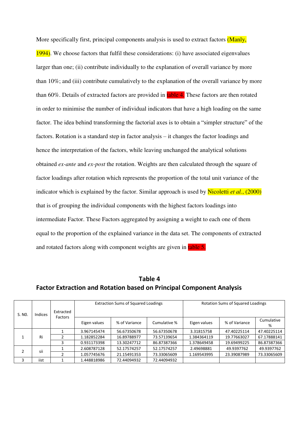More specifically first, principal components analysis is used to extract factors (Manly, 1994). We choose factors that fulfil these considerations: (i) have associated eigenvalues larger than one; (ii) contribute individually to the explanation of overall variance by more than 10%; and (iii) contribute cumulatively to the explanation of the overall variance by more than 60%. Details of extracted factors are provided in table 4. These factors are then rotated in order to minimise the number of individual indicators that have a high loading on the same factor. The idea behind transforming the factorial axes is to obtain a "simpler structure" of the factors. Rotation is a standard step in factor analysis – it changes the factor loadings and hence the interpretation of the factors, while leaving unchanged the analytical solutions obtained *ex-ante* and *ex-post* the rotation. Weights are then calculated through the square of factor loadings after rotation which represents the proportion of the total unit variance of the indicator which is explained by the factor. Similar approach is used by Nicoletti *et al.*, (2000) that is of grouping the individual components with the highest factors loadings into intermediate Factor. These Factors aggregated by assigning a weight to each one of them equal to the proportion of the explained variance in the data set. The components of extracted and rotated factors along with component weights are given in table 5.

**Table 4 Factor Extraction and Rotation based on Principal Component Analysis** 

| S. NO.        |         | Extracted<br>Factors |              | <b>Extraction Sums of Squared Loadings</b> |              | <b>Rotation Sums of Squared Loadings</b> |               |                 |  |
|---------------|---------|----------------------|--------------|--------------------------------------------|--------------|------------------------------------------|---------------|-----------------|--|
|               | Indices |                      |              |                                            |              |                                          |               |                 |  |
|               |         |                      | Eigen values | % of Variance                              | Cumulative % | Eigen values                             | % of Variance | Cumulative<br>% |  |
|               |         |                      | 3.967145474  | 56.67350678                                | 56.67350678  | 3.31815758                               | 47.40225114   | 47.40225114     |  |
|               | Ri      |                      | 1.182852284  | 16.89788977                                | 73.57139654  | 1.384364119                              | 19.77663027   | 67.17888141     |  |
|               |         | 3                    | 0.931173398  | 13.30247712                                | 86.87387366  | 1.378649458                              | 19.69499225   | 86.87387366     |  |
| $\mathcal{P}$ | sii     |                      | 2.608787128  | 52.17574257                                | 52.17574257  | 2.49698881                               | 49.9397762    | 49.9397762      |  |
|               |         |                      | 1.057745676  | 21.15491353                                | 73.33065609  | 1.169543995                              | 23.39087989   | 73.33065609     |  |
| 3             | iist    |                      | 1.448818986  | 72.44094932                                | 72.44094932  |                                          |               |                 |  |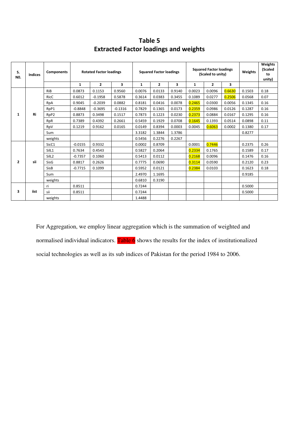**Table 5 Extracted Factor loadings and weights** 

| s.<br>NO.      | <b>Indices</b> | <b>Rotated Factor loadings</b><br><b>Components</b> |              |                |           | <b>Squared Factor loadings</b> |                         |        | <b>Squared Factor loadings</b><br>(Scaled to unity) |                |        | Weights | Weights<br>(Scaled<br>to<br>unity) |
|----------------|----------------|-----------------------------------------------------|--------------|----------------|-----------|--------------------------------|-------------------------|--------|-----------------------------------------------------|----------------|--------|---------|------------------------------------|
|                |                |                                                     | $\mathbf{1}$ | $\overline{2}$ | 3         | 1                              | $\overline{\mathbf{c}}$ | 3      | $\mathbf{1}$                                        | $\overline{2}$ | 3      |         |                                    |
|                |                | <b>RiB</b>                                          | 0.0873       | 0.1153         | 0.9560    | 0.0076                         | 0.0133                  | 0.9140 | 0.0023                                              | 0.0096         | 0.6630 | 0.1503  | 0.18                               |
|                |                | RicC                                                | 0.6012       | $-0.1958$      | 0.5878    | 0.3614                         | 0.0383                  | 0.3455 | 0.1089                                              | 0.0277         | 0.2506 | 0.0568  | 0.07                               |
|                |                | RpA                                                 | 0.9045       | $-0.2039$      | 0.0882    | 0.8181                         | 0.0416                  | 0.0078 | 0.2465                                              | 0.0300         | 0.0056 | 0.1345  | 0.16                               |
|                |                | RpP1                                                | $-0.8848$    | $-0.3695$      | $-0.1316$ | 0.7829                         | 0.1365                  | 0.0173 | 0.2359                                              | 0.0986         | 0.0126 | 0.1287  | 0.16                               |
| 1              | Ri             | RpP2                                                | 0.8873       | 0.3498         | 0.1517    | 0.7873                         | 0.1223                  | 0.0230 | 0.2373                                              | 0.0884         | 0.0167 | 0.1295  | 0.16                               |
|                |                | <b>RpR</b>                                          | 0.7389       | 0.4392         | 0.2661    | 0.5459                         | 0.1929                  | 0.0708 | 0.1645                                              | 0.1393         | 0.0514 | 0.0898  | 0.11                               |
|                |                | RpV                                                 | 0.1219       | 0.9162         | 0.0165    | 0.0149                         | 0.8394                  | 0.0003 | 0.0045                                              | 0.6063         | 0.0002 | 0.1380  | 0.17                               |
|                |                | Sum                                                 |              |                |           | 3.3182                         | 1.3844                  | 1.3786 |                                                     |                |        | 0.8277  |                                    |
|                |                | weights                                             |              |                |           | 0.5456                         | 0.2276                  | 0.2267 |                                                     |                |        |         |                                    |
|                |                | SicC1                                               | $-0.0155$    | 0.9332         |           | 0.0002                         | 0.8709                  |        | 0.0001                                              | 0.7446         |        | 0.2375  | 0.26                               |
|                |                | SilL1                                               | 0.7634       | 0.4543         |           | 0.5827                         | 0.2064                  |        | 0.2334                                              | 0.1765         |        | 0.1589  | 0.17                               |
|                |                | SilL <sub>2</sub>                                   | $-0.7357$    | 0.1060         |           | 0.5413                         | 0.0112                  |        | 0.2168                                              | 0.0096         |        | 0.1476  | 0.16                               |
| $\overline{2}$ | sii            | SisG                                                | 0.8817       | 0.2626         |           | 0.7775                         | 0.0690                  |        | 0.3114                                              | 0.0590         |        | 0.2120  | 0.23                               |
|                |                | <b>SisB</b>                                         | $-0.7715$    | 0.1099         |           | 0.5952                         | 0.0121                  |        | 0.2384                                              | 0.0103         |        | 0.1623  | 0.18                               |
|                |                | Sum                                                 |              |                |           | 2.4970                         | 1.1695                  |        |                                                     |                |        | 0.9185  |                                    |
|                |                | weights                                             |              |                |           | 0.6810                         | 0.3190                  |        |                                                     |                |        |         |                                    |
|                |                | ri                                                  | 0.8511       |                |           | 0.7244                         |                         |        |                                                     |                |        | 0.5000  |                                    |
| 3              | iist           | sii                                                 | 0.8511       |                |           | 0.7244                         |                         |        |                                                     |                |        | 0.5000  |                                    |
|                |                | weights                                             |              |                |           | 1.4488                         |                         |        |                                                     |                |        |         |                                    |

For Aggregation, we employ linear aggregation which is the summation of weighted and normalised individual indicators. Table 6 shows the results for the index of institutionalized social technologies as well as its sub indices of Pakistan for the period 1984 to 2006.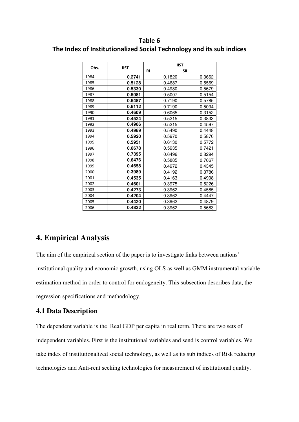**Table 6 The Index of Institutionalized Social Technology and its sub indices** 

| Obs. | <b>IIST</b> | <b>IIST</b> |            |  |  |  |
|------|-------------|-------------|------------|--|--|--|
|      |             | <b>RI</b>   | <b>SII</b> |  |  |  |
| 1984 | 0.2741      | 0.1820      | 0.3662     |  |  |  |
| 1985 | 0.5128      | 0.4687      | 0.5569     |  |  |  |
| 1986 | 0.5330      | 0.4980      | 0.5679     |  |  |  |
| 1987 | 0.5081      | 0.5007      | 0.5154     |  |  |  |
| 1988 | 0.6487      | 0.7190      | 0.5785     |  |  |  |
| 1989 | 0.6112      | 0.7190      | 0.5034     |  |  |  |
| 1990 | 0.4609      | 0.6065      | 0.3152     |  |  |  |
| 1991 | 0.4524      | 0.5215      | 0.3833     |  |  |  |
| 1992 | 0.4906      | 0.5215      | 0.4597     |  |  |  |
| 1993 | 0.4969      | 0.5490      | 0.4448     |  |  |  |
| 1994 | 0.5920      | 0.5970      | 0.5870     |  |  |  |
| 1995 | 0.5951      | 0.6130      | 0.5772     |  |  |  |
| 1996 | 0.6678      | 0.5935      | 0.7421     |  |  |  |
| 1997 | 0.7395      | 0.6496      | 0.8294     |  |  |  |
| 1998 | 0.6476      | 0.5885      | 0.7067     |  |  |  |
| 1999 | 0.4658      | 0.4972      | 0.4345     |  |  |  |
| 2000 | 0.3989      | 0.4192      | 0.3786     |  |  |  |
| 2001 | 0.4535      | 0.4163      | 0.4908     |  |  |  |
| 2002 | 0.4601      | 0.3975      | 0.5226     |  |  |  |
| 2003 | 0.4273      | 0.3962      | 0.4585     |  |  |  |
| 2004 | 0.4204      | 0.3962      | 0.4447     |  |  |  |
| 2005 | 0.4420      | 0.3962      | 0.4879     |  |  |  |
| 2006 | 0.4822      | 0.3962      | 0.5683     |  |  |  |

# **4. Empirical Analysis**

The aim of the empirical section of the paper is to investigate links between nations' institutional quality and economic growth, using OLS as well as GMM instrumental variable estimation method in order to control for endogeneity. This subsection describes data, the regression specifications and methodology.

#### **4.1 Data Description**

The dependent variable is the Real GDP per capita in real term. There are two sets of independent variables. First is the institutional variables and send is control variables. We take index of institutionalized social technology, as well as its sub indices of Risk reducing technologies and Anti-rent seeking technologies for measurement of institutional quality.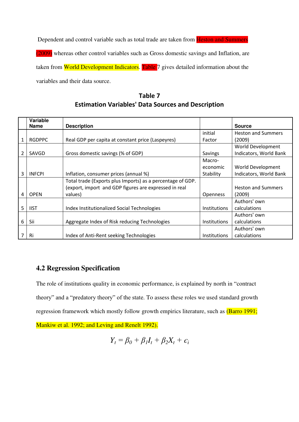Dependent and control variable such as total trade are taken from **Heston and Summers** (2009) whereas other control variables such as Gross domestic savings and Inflation, are taken from World Development Indicators. Table 7 gives detailed information about the variables and their data source.

| Table 7                                                   |
|-----------------------------------------------------------|
| <b>Estimation Variables' Data Sources and Description</b> |

|                | Variable<br>Name | <b>Description</b>                                         |                     | <b>Source</b>             |
|----------------|------------------|------------------------------------------------------------|---------------------|---------------------------|
|                |                  |                                                            | initial             | <b>Heston and Summers</b> |
|                | <b>RGDPPC</b>    | Real GDP per capita at constant price (Laspeyres)          | Factor              | (2009)                    |
|                |                  |                                                            |                     | World Development         |
| $\overline{2}$ | SAVGD            | Gross domestic savings (% of GDP)                          | Savings             | Indicators, World Bank    |
|                |                  |                                                            | Macro-              |                           |
|                |                  |                                                            | economic            | World Development         |
| 3              | <b>INFCPI</b>    | Inflation, consumer prices (annual %)                      | Stability           | Indicators, World Bank    |
|                |                  | Total trade (Exports plus Imports) as a percentage of GDP. |                     |                           |
|                |                  | (export, import and GDP figures are expressed in real      |                     | <b>Heston and Summers</b> |
| 4              | <b>OPEN</b>      | values)                                                    | <b>Openness</b>     | (2009)                    |
|                |                  |                                                            |                     | Authors' own              |
| 5              | <b>IIST</b>      | Index Institutionalized Social Technologies                | <b>Institutions</b> | calculations              |
|                |                  |                                                            |                     | Authors' own              |
| 6              | Sii              | Aggregate Index of Risk reducing Technologies              | <b>Institutions</b> | calculations              |
|                |                  |                                                            |                     | Authors' own              |
|                | Ri               | Index of Anti-Rent seeking Technologies                    | <b>Institutions</b> | calculations              |

## **4.2 Regression Specification**

The role of institutions quality in economic performance, is explained by north in "contract" theory" and a "predatory theory" of the state. To assess these roles we used standard growth regression framework which mostly follow growth empirics literature, such as (Barro 1991;

Mankiw et al. 1992; and Leving and Renelt 1992).

$$
Y_t = \beta_0 + \beta_1 I_t + \beta_2 X_t + \epsilon_i
$$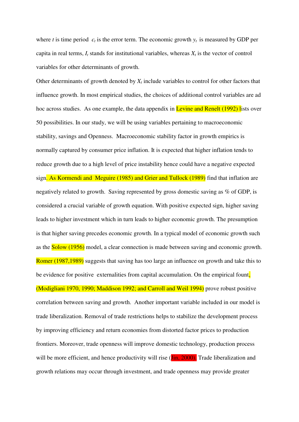where *t* is time period  $\epsilon_t$  is the error term. The economic growth  $y_t$  is measured by GDP per capita in real terms,  $I_t$  stands for institutional variables, whereas  $X_t$  is the vector of control variables for other determinants of growth.

Other determinants of growth denoted by  $X_t$  include variables to control for other factors that influence growth. In most empirical studies, the choices of additional control variables are ad hoc across studies. As one example, the data appendix in Levine and Renelt (1992) lists over 50 possibilities. In our study, we will be using variables pertaining to macroeconomic stability, savings and Openness. Macroeconomic stability factor in growth empirics is normally captured by consumer price inflation. It is expected that higher inflation tends to reduce growth due to a high level of price instability hence could have a negative expected sign. As Kormendi and Meguire (1985) and Grier and Tullock (1989) find that inflation are negatively related to growth. Saving represented by gross domestic saving as % of GDP, is considered a crucial variable of growth equation. With positive expected sign, higher saving leads to higher investment which in turn leads to higher economic growth. The presumption is that higher saving precedes economic growth. In a typical model of economic growth such as the Solow (1956) model, a clear connection is made between saving and economic growth. Romer (1987,1989) suggests that saving has too large an influence on growth and take this to be evidence for positive externalities from capital accumulation. On the empirical fount, (Modigliani 1970, 1990; Maddison 1992; and Carroll and Weil 1994) prove robust positive correlation between saving and growth. Another important variable included in our model is trade liberalization. Removal of trade restrictions helps to stabilize the development process by improving efficiency and return economies from distorted factor prices to production frontiers. Moreover, trade openness will improve domestic technology, production process will be more efficient, and hence productivity will rise (*Jin, 2000*). Trade liberalization and growth relations may occur through investment, and trade openness may provide greater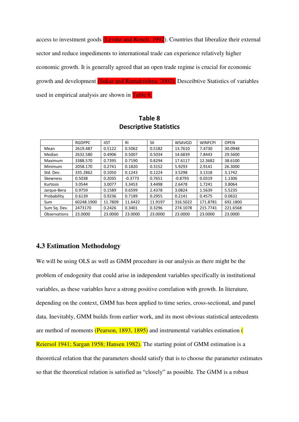access to investment goods (Levine and Renelt, 1992). Countries that liberalize their external sector and reduce impediments to international trade can experience relatively higher economic growth. It is generally agreed that an open trade regime is crucial for economic growth and development (Sukar and Ramakrishna, 2002). Desceibtive Statistics of variables used in empirical analysis are shown in Table 8.

|                     | <b>RGDPPC</b> | <b>IIST</b> | <b>RI</b> | SII     | <b>WSAVGD</b> | <b>WINFCPI</b> | <b>OPEN</b> |
|---------------------|---------------|-------------|-----------|---------|---------------|----------------|-------------|
| Mean                | 2619.487      | 0.5122      | 0.5062    | 0.5182  | 13.7610       | 7.4730         | 30.0948     |
| Median              | 2632.580      | 0.4906      | 0.5007    | 0.5034  | 14.6839       | 7.8443         | 29.5600     |
| Maximum             | 3388.570      | 0.7395      | 0.7190    | 0.8294  | 17.6117       | 12.3682        | 38.6100     |
| <b>Minimum</b>      | 2058.170      | 0.2741      | 0.1820    | 0.3152  | 5.9293        | 2.9141         | 26.3000     |
| Std. Dev.           | 335.2862      | 0.1050      | 0.1243    | 0.1224  | 3.5298        | 3.1318         | 3.1742      |
| Skewness            | 0.5038        | 0.2035      | $-0.3773$ | 0.7651  | $-0.8793$     | 0.0319         | 1.1306      |
| Kurtosis            | 3.0544        | 3.0077      | 3.3453    | 3.4498  | 2.6478        | 1.7241         | 3.8064      |
| Jarque-Bera         | 0.9759        | 0.1589      | 0.6599    | 2.4378  | 3.0824        | 1.5639         | 5.5235      |
| Probability         | 0.6139        | 0.9236      | 0.7189    | 0.2955  | 0.2141        | 0.4575         | 0.0632      |
| Sum                 | 60248.1900    | 11.7809     | 11.6422   | 11.9197 | 316.5022      | 171.8781       | 692.1800    |
| Sum Sq. Dev.        | 2473170       | 0.2426      | 0.3401    | 0.3296  | 274.1078      | 215.7741       | 221.6568    |
| <b>Observations</b> | 23.0000       | 23.0000     | 23.0000   | 23.0000 | 23.0000       | 23.0000        | 23.0000     |

**Table 8 Descriptive Statistics** 

### **4.3 Estimation Methodology**

We will be using OLS as well as GMM procedure in our analysis as there might be the problem of endogenity that could arise in independent variables specifically in institutional variables, as these variables have a strong positive correlation with growth. In literature, depending on the context, GMM has been applied to time series, cross-sectional, and panel data. Inevitably, GMM builds from earlier work, and its most obvious statistical antecedents are method of moments (Pearson, 1893, 1895) and instrumental variables estimation ( Reiersol 1941; Sargan 1958; Hansen 1982). The starting point of GMM estimation is a theoretical relation that the parameters should satisfy that is to choose the parameter estimates so that the theoretical relation is satisfied as "closely" as possible. The GMM is a robust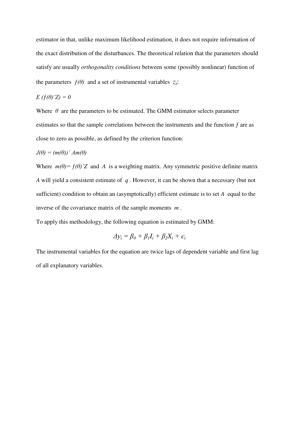estimator in that, unlike maximum likelihood estimation, it does not require information of the exact distribution of the disturbances. The theoretical relation that the parameters should satisfy are usually *orthogonality conditions* between some (possibly nonlinear) function of the parameters  $f(\theta)$  and a set of instrumental variables  $z_t$ :

$$
E(f(\theta)Z)=0
$$

Where  $\theta$  are the parameters to be estimated. The GMM estimator selects parameter estimates so that the sample correlations between the instruments and the function *ƒ* are as close to zero as possible, as defined by the criterion function:

$$
J(\theta) = (m(\theta))' \, Am(\theta)
$$

Where  $m(\theta) = f(\theta)$ 'Z and A is a weighting matrix. Any symmetric positive definite matrix *A* will yield a consistent estimate of *q* . However, it can be shown that a necessary (but not sufficient) condition to obtain an (asymptotically) efficient estimate is to set *A* equal to the inverse of the covariance matrix of the sample moments *m* .

To apply this methodology, the following equation is estimated by GMM:

$$
\Delta y_i = \beta_0 + \beta_1 I_i + \beta_2 X_i + \epsilon_i
$$

The instrumental variables for the equation are twice lags of dependent variable and first lag of all explanatory variables.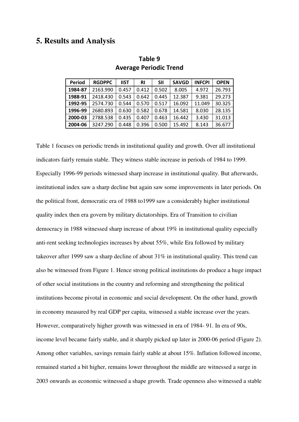#### **5. Results and Analysis**

| Period  | <b>RGDPPC</b> | <b>IIST</b> | RI    | <b>SII</b> | <b>SAVGD</b> | <b>INFCPI</b> | <b>OPEN</b> |
|---------|---------------|-------------|-------|------------|--------------|---------------|-------------|
| 1984-87 | 2163.990      | 0.457       | 0.412 | 0.502      | 8.005        | 4.972         | 26.793      |
| 1988-91 | 2418.430      | 0.543       | 0.642 | 0.445      | 12.387       | 9.381         | 29.273      |
| 1992-95 | 2574.730      | 0.544       | 0.570 | 0.517      | 16.092       | 11.049        | 30.325      |
| 1996-99 | 2680.893      | 0.630       | 0.582 | 0.678      | 14.581       | 8.030         | 28.135      |
| 2000-03 | 2788.538      | 0.435       | 0.407 | 0.463      | 16.442       | 3.430         | 31.013      |
| 2004-06 | 3247.290      | 0.448       | 0.396 | 0.500      | 15.492       | 8.143         | 36.677      |

## **Table 9 Average Periodic Trend**

Table 1 focuses on periodic trends in institutional quality and growth. Over all institutional indicators fairly remain stable. They witness stable increase in periods of 1984 to 1999. Especially 1996-99 periods witnessed sharp increase in institutional quality. But afterwards, institutional index saw a sharp decline but again saw some improvements in later periods. On the political front, democratic era of 1988 to1999 saw a considerably higher institutional quality index then era govern by military dictatorships. Era of Transition to civilian democracy in 1988 witnessed sharp increase of about 19% in institutional quality especially anti-rent seeking technologies increases by about 55%, while Era followed by military takeover after 1999 saw a sharp decline of about 31% in institutional quality. This trend can also be witnessed from Figure 1. Hence strong political institutions do produce a huge impact of other social institutions in the country and reforming and strengthening the political institutions become pivotal in economic and social development. On the other hand, growth in economy measured by real GDP per capita, witnessed a stable increase over the years. However, comparatively higher growth was witnessed in era of 1984- 91. In era of 90s, income level became fairly stable, and it sharply picked up later in 2000-06 period (Figure 2). Among other variables, savings remain fairly stable at about 15%. Inflation followed income, remained started a bit higher, remains lower throughout the middle are witnessed a surge in 2003 onwards as economic witnessed a shape growth. Trade openness also witnessed a stable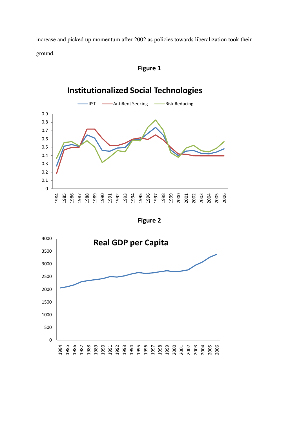increase and picked up momentum after 2002 as policies towards liberalization took their ground.







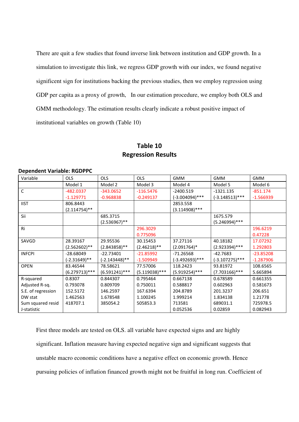There are quit a few studies that found inverse link between institution and GDP growth. In a simulation to investigate this link, we regress GDP growth with our index, we found negative significent sign for institutions backing the previous studies, then we employ regression using GDP per capita as a proxy of growth, In our estimation procedure, we employ both OLS and GMM methodology. The estimation results clearly indicate a robust positive impact of institutional variables on growth (Table 10)

## **Table 10 Regression Results**

| Dependent Variable: RGDPPC |                  |                  |                  |                   |                   |             |
|----------------------------|------------------|------------------|------------------|-------------------|-------------------|-------------|
| Variable                   | <b>OLS</b>       | <b>OLS</b>       | <b>OLS</b>       | <b>GMM</b>        | <b>GMM</b>        | <b>GMM</b>  |
|                            | Model 1          | Model 2          | Model 3          | Model 4           | Model 5           | Model 6     |
| C                          | -482.0337        | $-343.0652$      | $-116.5476$      | $-2400.519$       | $-1321.135$       | $-851.174$  |
|                            | $-1.129771$      | $-0.968838$      | $-0.249137$      | $(-3.004094)$ *** | $(-3.148513)$ *** | $-1.566939$ |
| <b>IIST</b>                | 806.8443         |                  |                  | 2853.558          |                   |             |
|                            | $(2.114754)$ **  |                  |                  | $(3.114908)$ ***  |                   |             |
| Sii                        |                  | 685.3715         |                  |                   | 1675.579          |             |
|                            |                  | $(2.536967)$ **  |                  |                   | $(5.246994)$ ***  |             |
| Ri                         |                  |                  | 296.3029         |                   |                   | 196.6219    |
|                            |                  |                  | 0.775096         |                   |                   | 0.47228     |
| SAVGD                      | 28.39167         | 29.95536         | 30.15453         | 37.27116          | 40.18182          | 17.07292    |
|                            | $(2.562602)$ **  | $(2.843858)$ **  | $(2.46218)$ **   | $(2.091764)^*$    | $(2.923394)***$   | 1.292803    |
| <b>INFCPI</b>              | $-28.68049$      | $-22.73401$      | $-21.85992$      | $-71.26568$       | $-42.7683$        | $-23.85208$ |
|                            | $(-2.31649)$ **  | (-2.143448)**    | $-1.509949$      | (-3.492693)***    | $(-3.107275)$ *** | $-1.287906$ |
| <b>OPEN</b>                | 83.46544         | 78.58621         | 77.57006         | 118.2423          | 93.81972          | 108.6565    |
|                            | $(6.279713)$ *** | $(6.591241)$ *** | $(5.119038)$ *** | $(5.919254)***$   | $(7.703166)***$   | 5.665894    |
| R-squared                  | 0.8307           | 0.844307         | 0.795464         | 0.667138          | 0.678589          | 0.661355    |
| Adjusted R-sq.             | 0.793078         | 0.809709         | 0.750011         | 0.588817          | 0.602963          | 0.581673    |
| S.E. of regression         | 152.5172         | 146.2597         | 167.6394         | 204.8789          | 201.3237          | 206.651     |
| DW stat                    | 1.462563         | 1.678548         | 1.100245         | 1.999214          | 1.834138          | 1.21778     |
| Sum squared resid          | 418707.1         | 385054.2         | 505853.3         | 713581            | 689031.1          | 725978.5    |
| J-statistic                |                  |                  |                  | 0.052536          | 0.02859           | 0.082943    |

# **Dependent Variable: RGDPPC**

First three models are tested on OLS. all variable have expected signs and are highly significant. Inflation measure having expected negative sign and significant suggests that unstable macro economic conditions have a negative effect on economic growth. Hence pursuing policies of inflation financed growth might not be fruitful in long run. Coefficient of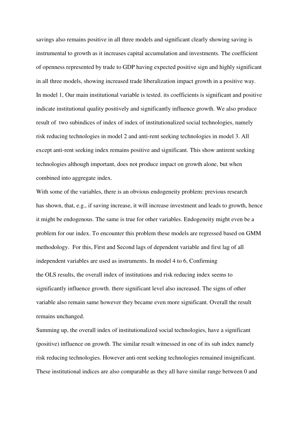savings also remains positive in all three models and significant clearly showing saving is instrumental to growth as it increases capital accumulation and investments. The coefficient of openness represented by trade to GDP having expected positive sign and highly significant in all three models, showing increased trade liberalization impact growth in a positive way. In model 1, Our main institutional variable is tested. its coefficients is significant and positive indicate institutional quality positively and significantly influence growth. We also produce result of two subindices of index of index of institutionalized social technologies, namely risk reducing technologies in model 2 and anti-rent seeking technologies in model 3. All except anti-rent seeking index remains positive and significant. This show antirent seeking technologies although important, does not produce impact on growth alone, but when combined into aggregate index.

With some of the variables, there is an obvious endogeneity problem: previous research has shown, that, e.g., if saving increase, it will increase investment and leads to growth, hence it might be endogenous. The same is true for other variables. Endogeneity might even be a problem for our index. To encounter this problem these models are regressed based on GMM methodology. For this, First and Second lags of dependent variable and first lag of all independent variables are used as instruments. In model 4 to 6, Confirming the OLS results, the overall index of institutions and risk reducing index seems to significantly influence growth. there significant level also increased. The signs of other variable also remain same however they became even more significant. Overall the result remains unchanged.

Summing up, the overall index of institutionalized social technologies, have a significant (positive) influence on growth. The similar result witnessed in one of its sub index namely risk reducing technologies. However anti-rent seeking technologies remained insignificant. These institutional indices are also comparable as they all have similar range between 0 and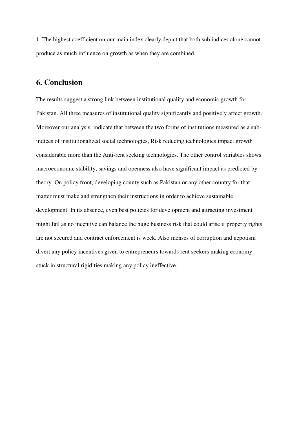1. The highest coefficient on our main index clearly depict that both sub indices alone cannot produce as much influence on growth as when they are combined.

## **6. Conclusion**

The results suggest a strong link between institutional quality and economic growth for Pakistan. All three measures of institutional quality significantly and positively affect growth. Moreover our analysis indicate that between the two forms of institutions measured as a subindices of institutionalized social technologies, Risk reducing technologies impact growth considerable more than the Anti-rent seeking technologies. The other control variables shows macroeconomic stability, savings and openness also have significant impact as predicted by theory. On policy front, developing county such as Pakistan or any other country for that matter must make and strengthen their instructions in order to achieve sustainable development. In its absence, even best policies for development and attracting investment might fail as no incentive can balance the huge business risk that could arise if property rights are not secured and contract enforcement is week. Also menses of corruption and nepotism divert any policy incentives given to entrepreneurs towards rent seekers making economy stuck in structural rigidities making any policy ineffective.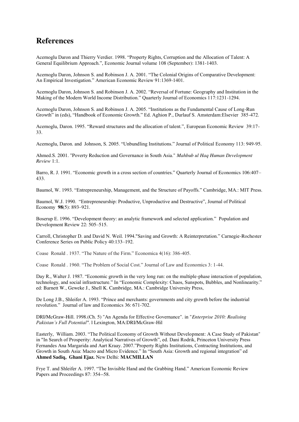## **References**

Acemoglu Daron and Thierry Verdier. 1998. "Property Rights, Corruption and the Allocation of Talent: A General Equilibrium Approach.", Economic Journal volume 108 (September): 1381-1403.

Acemoglu Daron, Johnson S. and Robinson J. A. 2001. "The Colonial Origins of Comparative Development: An Empirical Investigation." American Economic Review 91:1369-1401.

Acemoglu Daron, Johnson S. and Robinson J. A. 2002. "Reversal of Fortune: Geography and Institution in the Making of the Modern World Income Distribution." Quarterly Journal of Economics 117:1231-1294.

Acemoglu Daron, Johnson S. and Robinson J. A. 2005. "Institutions as the Fundamental Cause of Long-Run Growth" in (eds), "Handbook of Economic Growth." Ed. Aghion P., Durlauf S. Amsterdam: Elsevier 385-472.

Acemoglu, Daron. 1995. "Reward structures and the allocation of talent.", European Economic Review 39:17-33.

Acemoglu, Daron. and Johnson, S. 2005. "Unbundling Institutions." Journal of Political Economy 113: 949-95.

Ahmed.S. 2001. "Poverty Reduction and Governance in South Asia." *Mahbub ul Haq Human Development Review* 1:1.

Barro, R. J. 1991. "Economic growth in a cross section of countries." Quarterly Journal of Economics 106:407– 433.

Baumol, W. 1993. "Entrepreneurship, Management, and the Structure of Payoffs." Cambridge, MA.: MIT Press.

Baumol, W.J. 1990. "Entrepreneurship: Productive, Unproductive and Destructive", Journal of Political Economy **98**(5): 893–921.

Boserup E. 1996. "Development theory: an analytic framework and selected application." Population and Development Review 22: 505–515.

Carroll, Christopher D. and David N. Weil. 1994."Saving and Growth: A Reinterpretation." Carnegie-Rochester Conference Series on Public Policy 40:133–192.

Coase Ronald . 1937. "The Nature of the Firm." Economica 4(16): 386-405.

Coase Ronald . 1960. "The Problem of Social Cost." Journal of Law and Economics 3: 1-44.

Day R., Walter J. 1987. "Economic growth in the very long run: on the multiple-phase interaction of population, technology, and social infrastructure." In "Economic Complexity: Chaos, Sunspots, Bubbles, and Nonlinearity." ed: Barnett W., Geweke J., Shell K. Cambridge, MA.: Cambridge University Press,

De Long J.B., Shleifer A. 1993. "Prince and merchants: governments and city growth before the industrial revolution." Journal of law and Economics 36: 671-702.

DRI/McGraw-Hill. 1998.(Ch. 5) "An Agenda for Effective Governance". in "*Enterprise 2010: Realising Pakistan's Full Potential"*. l Lexington, MA:DRI/McGraw-Hil

Easterly, William. 2003. "The Political Economy of Growth Without Development: A Case Study of Pakistan" in "In Search of Prosperity: Analytical Narratives of Growth", ed. Dani Rodrik, Princeton University Press Fernandes Ana Margarida and Aart Kraay. 2007. "Property Rights Institutions, Contracting Institutions, and Growth in South Asia: Macro and Micro Evidence." In "South Asia: Growth and regional integration" ed **Ahmed Sadiq, Ghani Ejaz.** New Delhi: **MACMILLAN**

Frye T. and Shleifer A. 1997. "The Invisible Hand and the Grabbing Hand." American Economic Review Papers and Proceedings 87: 354--58.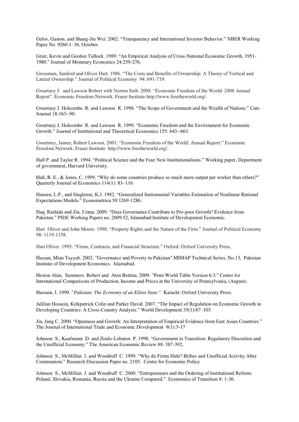Gelos, Gaston, and Shang-Jin Wei. 2002. "Transparency and International Investor Behavior." NBER Working Paper No. 9260:1–36, October.

Grier, Kevin and Gordon Tullock. 1989. "An Empirical Analysis of Cross-National Economic Growth, 1951-1980." Journal of Monetary Economics 24:259-276.

Grossman, Sanford and Oliver Hart. 1986. "The Costs and Benefits of Ownership: A Theory of Vertical and Lateral Ownership." Journal of Political Economy 94: 691-719.

Gwartney J. and Lawson Robert with Norton Seth. 2008. "Economic Freedom of the World: 2008 Annual Report". Economic Freedom Network. Fraser Institute http://www.freetheworld.org/.

Gwartney J. Holcombe R. and Lawson R. 1998. "The Scope of Government and the Wealth of Nations." Cato Journal 18:163--90.

Gwartney J. Holcombe R. and Lawson R. 1999. "Economic Freedom and the Environment for Economic Growth.<sup>9</sup> Journal of Institutional and Theoretical Economics 155:  $643-663$ .

Gwartney, James; Robert Lawson. 2001. "Economic Freedom of the World: Annual Report." Economic Freedom Network. Fraser Institute http://www.freetheworld.org/.

Hall P. and Taylor R. 1994. "Political Science and the Four New Institutionalisms." Working paper, Department of government, Harvard University.

Hall, R. E., & Jones, C. 1999. "Why do some countries produce so much more output per worker than others?" Quarterly Journal of Economics 114(1): 83–116.

Hansen, L.P., and Singleton, K.J. 1982. "Generalized Instrumental Variables Estimation of Nonlinear Rational Expectations Models." Econometrica 50:1269-1286.

Haq. Rashida and Zia. Uzma. 2009. "Does Governance Contribute to Pro-poor Growth? Evidence from Pakistan." PIDE Working Papers no. 2009:52, Islamabad:Institute of Development Economic.

Hart Oliver and John Moore. 1990. "Property Rights and the Nature of the Firm." Journal of Political Economy 98: 1119-1158.

Hart Oliver. 1995. "Firms, Contracts, and Financial Structure." Oxford: Oxford University Press,

Hassan, Mian Tayyab. 2002. "Governance and Poverty in Pakistan".MIMAP Technical Series, No.13, Pakistan Institute of Development Economics. Islamabad.

Heston Alan, Summers Robert and Aten Bettina. 2009. "Penn World Table Version 6.3." Center for International Comparisons of Production, Income and Prices at the University of Pennsylvania, (August).

Hussain, I. 1999. "*Pakistan: The Economy of an Elitist State*." Karachi: Oxford University Press.

Jalilian Hossein, Kirkpatrick Colin and Parker David. 2007. "The Impact of Regulation on Economic Growth in Developing Countries: A Cross-Country Analysis." World Development 35(1):87–103

Jin, Jang C. 2000. "Openness and Growth: An Interpretation of Empirical Evidence from East Asian Countries." The Journal of International Trade and Economic Development 9(1):5-17

Johnson S., Kaufmann D. and Zoido-Lobaton P. 1998. "Government in Transition: Regulatory Discretion and the Unofficial Economy." The American Economic Review 88: 387-392.

Johnson S., McMillan J. and Woodruff C. 1999. "Why do Firms Hide? Bribes and Unofficial Activity After Communism." Research Discussion Paper no. 2105. Centre for Economic Policy

Johnson S., McMillan J. and Woodruff C. 2000. "Entrepreneurs and the Ordering of Institutional Reform: Poland, Slovakia, Romania, Russia and the Ukraine Compared." Economics of Transition 8: 1-36.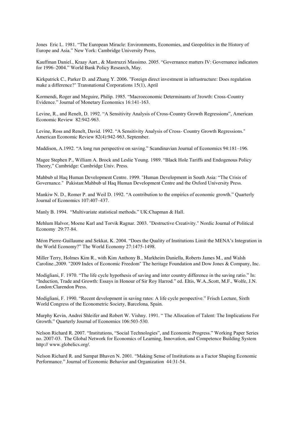Jones Eric L. 1981. "The European Miracle: Environments, Economies, and Geopolitics in the History of Europe and Asia." New York: Cambridge University Press,

Kauffman Daniel., Kraay Aart., & Mastruzzi Massimo. 2005. "Governance matters IV: Governance indicators" for 1996–2004." World Bank Policy Research, May.

Kirkpatrick C., Parker D. and Zhang Y. 2006. "Foreign direct investment in infrastructure: Does regulation make a difference?" Transnational Corporations 15(1), April

Kormendi, Roger and Meguire, Philip. 1985. "Macroeconomic Determinants of 3rowth: Cross-Country Evidence." Journal of Monetary Economics 16:141-163.

Levine, R., and Renelt, D. 1992. "A Sensitivity Analysis of Cross-Country Growth Regressions", American Economic Review 82:942-963.

Levine, Ross and Renelt, David. 1992. "A Sensitivity Analysis of Cross- Country Growth Regressions." American Economic Review 82(4):942-963, September.

Maddison, A.1992. "A long run perspective on saving." Scandinavian Journal of Economics 94:181–196.

Magee Stephen P., William A. Brock and Leslie Young. 1989. "Black Hole Tariffs and Endogenous Policy Theory," Cambridge: Cambridge Univ. Press.

Mahbub ul Haq Human Development Centre. 1999. "Human Development in South Asia: "The Crisis of Governance." Pakistan:Mahbub ul Haq Human Development Centre and the Oxford University Press.

Mankiw N. D., Romer P. and Weil D. 1992. "A contribution to the empirics of economic growth." Quarterly Journal of Economics 107:407–437.

Manly B. 1994. 
"Multivariate statistical methods." UK: Chapman & Hall.

Mehlum Halvor, Moene Karl and Torvik Ragnar. 2003. "Destructive Creativity." Nordic Journal of Political Economy 29:77-84.

Méon Pierre-Guillaume and Sekkat, K. 2004. "Does the Quality of Institutions Limit the MENA's Integration in the World Economy?" The World Economy 27:1475-1498.

Miller Terry, Holmes Kim R., with Kim Anthony B., Markheim Daniella, Roberts James M., and Walsh Caroline.,2009. "2009 Index of Economic Freedom" The heritage Foundation and Dow Jones & Company, Inc.

Modigliani, F. 1970. "The life cycle hypothesis of saving and inter country difference in the saving ratio." In: ―Induction, Trade and Growth: Essays in Honour of Sir Roy Harrod.‖ ed. Eltis, W.A.,Scott, M.F., Wolfe, J.N. London:Clarendon Press.

Modigliani, F. 1990. "Recent development in saving rates: A life cycle perspective." Frisch Lecture, Sixth World Congress of the Econometric Society, Barcelona, Spain.

Murphy Kevin, Andrei Shleifer and Robert W. Vishny. 1991. "The Allocation of Talent: The Implications For Growth." Quarterly Journal of Economics 106:503-530.

Nelson Richard R. 2007. "Institutions, "Social Technologies", and Economic Progress." Working Paper Series no. 2007-03. The Global Network for Economics of Learning, Innovation, and Competence Building System http:// www.globelics.org/.

Nelson Richard R. and Sampat Bhaven N. 2001. "Making Sense of Institutions as a Factor Shaping Economic Performance." Journal of Economic Behavior and Organization 44:31-54.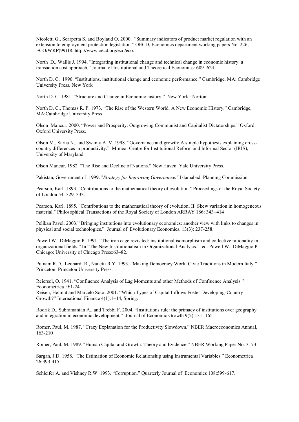Nicoletti G., Scarpetta S. and Boylaud O. 2000. "Summary indicators of product market regulation with an extension to employment protection legislation." OECD, Economics department working papers No. 226, ECO/WKP(99)18. http://www.oecd.org/eco/eco.

North D., Wallis J. 1994. "Integrating institutional change and technical change in economic history: a transaction cost approach.‖ Journal of Institutional and Theoretical Economics: 609–624.

North D. C. 1990. "Institutions, institutional change and economic performance." Cambridge, MA: Cambridge University Press, New York

North D. C. 1981. "Structure and Change in Economic history." New York : Norton.

North D. C., Thomas R. P. 1973. "The Rise of the Western World. A New Economic History." Cambridge, MA:Cambridge University Press.

Olson Mancur. 2000. "Power and Prosperity: Outgrowing Communist and Capitalist Dictatorships." Oxford: Oxford University Press.

Olson M., Sarna N., and Swamy A. V. 1998. "Governance and growth: A simple hypothesis explaining crosscountry differences in productivity." Mimeo: Centre for Institutional Reform and Informal Sector (IRIS), University of Maryland.

Olson Mancur. 1982. "The Rise and Decline of Nations." New Haven: Yale University Press.

Pakistan, Government of .1999. "*Strategy for Improving Governance."* Islamabad: Planning Commission.

Pearson, Karl. 1893. "Contributions to the mathematical theory of evolution." Proceedings of the Royal Society of London 54: 329–333.

Pearson, Karl. 1895. "Contributions to the mathematical theory of evolution, II: Skew variation in homogeneous material." Philosophical Transactions of the Royal Society of London ARRAY 186: 343–414

Pelikan Pavel. 2003." Bringing institutions into evolutionary economics: another view with links to changes in physical and social technologies.‖ Journal of Evolutionary Economics. 13(3): 237-258,

Powell W., DiMaggio P. 1991. "The iron cage revisited: institutional isomorphism and collective rationality in organizational fields." In "The New Institutionalism in Organizational Analysis." ed. Powell W., DiMaggio P. Chicago: University of Chicago Press:63–82.

Putnam R.D., Leonardi R., Nanetti R.Y. 1993. "Making Democracy Work: Civic Traditions in Modern Italy." Princeton: Princeton University Press.

Reiersol, O. 1941. "Confluence Analysis of Lag Moments and other Methods of Confluence Analysis." Econometrica 9:1-24

Reisen, Helmut and Marcelo Soto. 2001. "Which Types of Capital Inflows Foster Developing-Country Growth?" International Finance  $4(1)$ :1–14, Spring.

Rodrik D., Subramanian A., and Trebbi F. 2004. "Institutions rule: the primacy of institutions over geography and integration in economic development." Journal of Economic Growth  $9(2)$ :131–165.

Romer, Paul, M. 1987. "Crazy Explanation for the Productivity Slowdown." NBER Macroeconomics Annual, 163-210

Romer, Paul, M. 1989. "Human Capital and Growth: Theory and Evidence." NBER Working Paper No. 3173

Sargan, J.D. 1958. "The Estimation of Economic Relationship using Instrumental Variables." Econometrica 26:393-415

Schleifer A. and Vishney R.W. 1993. "Corruption." Quarterly Journal of Economics 108:599-617.